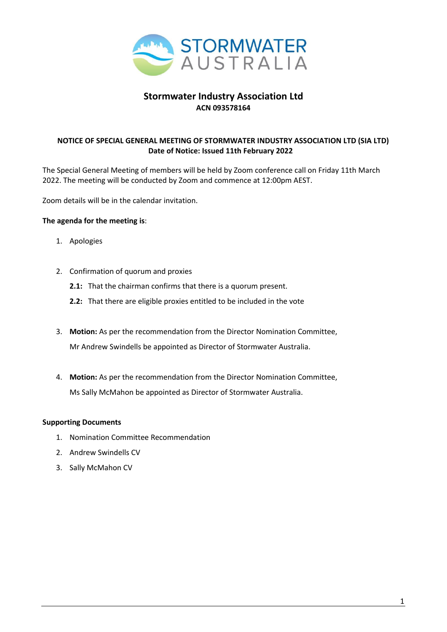

### **Stormwater Industry Association Ltd ACN 093578164**

#### **NOTICE OF SPECIAL GENERAL MEETING OF STORMWATER INDUSTRY ASSOCIATION LTD (SIA LTD) Date of Notice: Issued 11th February 2022**

The Special General Meeting of members will be held by Zoom conference call on Friday 11th March 2022. The meeting will be conducted by Zoom and commence at 12:00pm AEST.

Zoom details will be in the calendar invitation.

#### **The agenda for the meeting is**:

- 1. Apologies
- 2. Confirmation of quorum and proxies
	- **2.1:** That the chairman confirms that there is a quorum present.
	- **2.2:** That there are eligible proxies entitled to be included in the vote
- 3. **Motion:** As per the recommendation from the Director Nomination Committee, Mr Andrew Swindells be appointed as Director of Stormwater Australia.
- . **Motion:** As per the recommendation from the Director Nomination Committee, 4Ms Sally McMahon be appointed as Director of Stormwater Australia.

#### **Supporting Documents**

- 1. Nomination Committee Recommendation
- 2. Andrew Swindells CV
- 3. Sally McMahon CV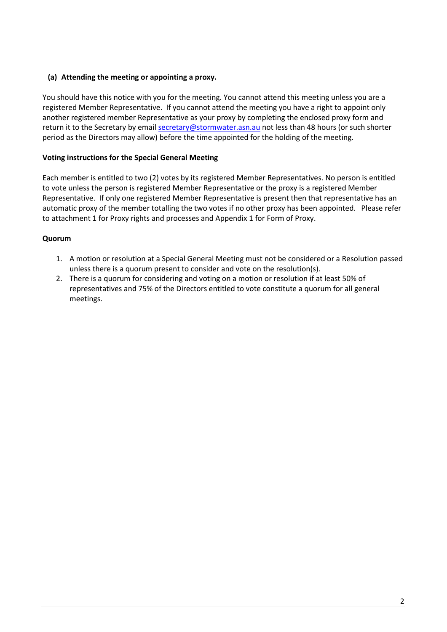#### **(a) Attending the meeting or appointing a proxy.**

You should have this notice with you for the meeting. You cannot attend this meeting unless you are a registered Member Representative. If you cannot attend the meeting you have a right to appoint only another registered member Representative as your proxy by completing the enclosed proxy form and return it to the Secretary by emai[l secretary@stormwater.asn.au](about:blank) not less than 48 hours (or such shorter period as the Directors may allow) before the time appointed for the holding of the meeting.

#### **Voting instructions for the Special General Meeting**

Each member is entitled to two (2) votes by its registered Member Representatives. No person is entitled to vote unless the person is registered Member Representative or the proxy is a registered Member Representative. If only one registered Member Representative is present then that representative has an automatic proxy of the member totalling the two votes if no other proxy has been appointed. Please refer to attachment 1 for Proxy rights and processes and Appendix 1 for Form of Proxy.

#### **Quorum**

- 1. A motion or resolution at a Special General Meeting must not be considered or a Resolution passed unless there is a quorum present to consider and vote on the resolution(s).
- 2. There is a quorum for considering and voting on a motion or resolution if at least 50% of representatives and 75% of the Directors entitled to vote constitute a quorum for all general meetings.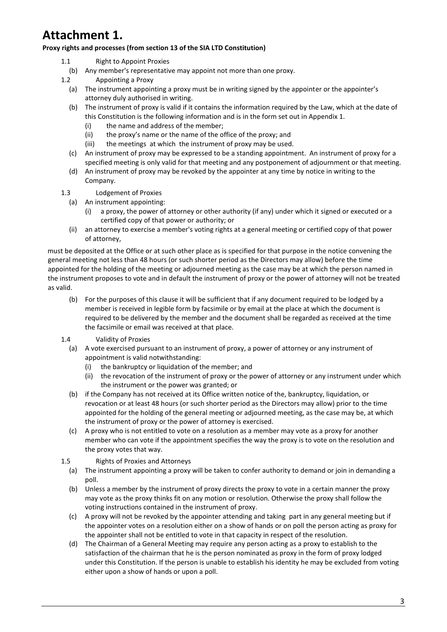# **Attachment 1.**

#### **Proxy rights and processes (from section 13 of the SIA LTD Constitution)**

- 1.1 Right to Appoint Proxies
	- (b) Any member's representative may appoint not more than one proxy.
- 1.2 Appointing a Proxy
	- (a) The instrument appointing a proxy must be in writing signed by the appointer or the appointer's attorney duly authorised in writing.
	- (b) The instrument of proxy is valid if it contains the information required by the Law, which at the date of this Constitution is the following information and is in the form set out in Appendix 1.
		- (i) the name and address of the member;
		- (ii) the proxy's name or the name of the office of the proxy; and
		- (iii) the meetings at which the instrument of proxy may be used.
	- (c) An instrument of proxy may be expressed to be a standing appointment. An instrument of proxy for a specified meeting is only valid for that meeting and any postponement of adjournment or that meeting.
	- (d) An instrument of proxy may be revoked by the appointer at any time by notice in writing to the Company.
- 1.3 Lodgement of Proxies
	- (a) An instrument appointing:
		- (i) a proxy, the power of attorney or other authority (if any) under which it signed or executed or a certified copy of that power or authority; or
	- (ii) an attorney to exercise a member's voting rights at a general meeting or certified copy of that power of attorney,

must be deposited at the Office or at such other place as is specified for that purpose in the notice convening the general meeting not less than 48 hours (or such shorter period as the Directors may allow) before the time appointed for the holding of the meeting or adjourned meeting as the case may be at which the person named in the instrument proposes to vote and in default the instrument of proxy or the power of attorney will not be treated as valid.

- (b) For the purposes of this clause it will be sufficient that if any document required to be lodged by a member is received in legible form by facsimile or by email at the place at which the document is required to be delivered by the member and the document shall be regarded as received at the time the facsimile or email was received at that place.
- 1.4 Validity of Proxies
	- (a) A vote exercised pursuant to an instrument of proxy, a power of attorney or any instrument of appointment is valid notwithstanding:
		- (i) the bankruptcy or liquidation of the member; and
		- (ii) the revocation of the instrument of proxy or the power of attorney or any instrument under which the instrument or the power was granted; or
	- (b) if the Company has not received at its Office written notice of the, bankruptcy, liquidation, or revocation or at least 48 hours (or such shorter period as the Directors may allow) prior to the time appointed for the holding of the general meeting or adjourned meeting, as the case may be, at which the instrument of proxy or the power of attorney is exercised.
	- (c) A proxy who is not entitled to vote on a resolution as a member may vote as a proxy for another member who can vote if the appointment specifies the way the proxy is to vote on the resolution and the proxy votes that way.
- 1.5 Rights of Proxies and Attorneys
	- (a) The instrument appointing a proxy will be taken to confer authority to demand or join in demanding a poll.
	- (b) Unless a member by the instrument of proxy directs the proxy to vote in a certain manner the proxy may vote as the proxy thinks fit on any motion or resolution. Otherwise the proxy shall follow the voting instructions contained in the instrument of proxy.
	- (c) A proxy will not be revoked by the appointer attending and taking part in any general meeting but if the appointer votes on a resolution either on a show of hands or on poll the person acting as proxy for the appointer shall not be entitled to vote in that capacity in respect of the resolution.
	- (d) The Chairman of a General Meeting may require any person acting as a proxy to establish to the satisfaction of the chairman that he is the person nominated as proxy in the form of proxy lodged under this Constitution. If the person is unable to establish his identity he may be excluded from voting either upon a show of hands or upon a poll.